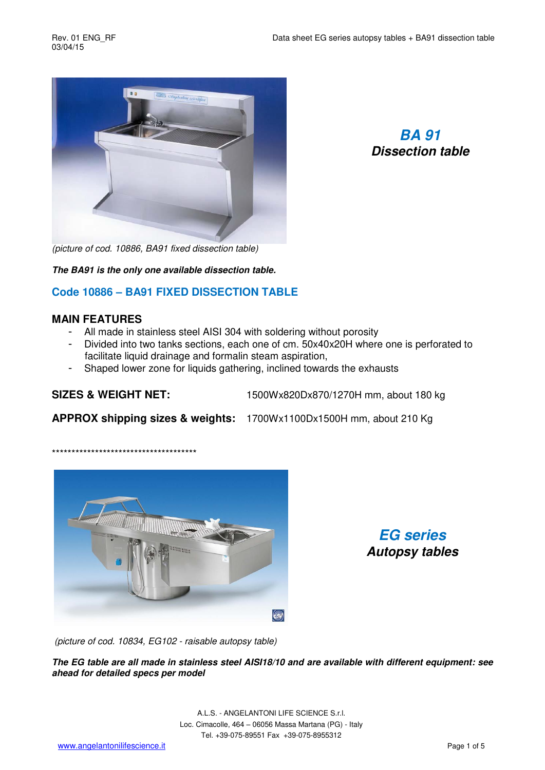

*BA 91 Dissection table* 

*(picture of cod. 10886, BA91 fixed dissection table)* 

*The BA91 is the only one available dissection table.* 

## **Code 10886 – BA91 FIXED DISSECTION TABLE**

#### **MAIN FEATURES**

- All made in stainless steel AISI 304 with soldering without porosity
- Divided into two tanks sections, each one of cm. 50x40x20H where one is perforated to facilitate liquid drainage and formalin steam aspiration.
- Shaped lower zone for liquids gathering, inclined towards the exhausts

\*\*\*\*\*\*\*\*\*\*\*\*\*\*\*\*\*\*\*\*\*\*\*\*\*\*\*\*\*\*\*\*\*\*\*\*\*

**SIZES & WEIGHT NET:** 1500Wx820Dx870/1270H mm, about 180 kg

**APPROX shipping sizes & weights:** 1700Wx1100Dx1500H mm, about 210 Kg



*EG series Autopsy tables* 

 *(picture of cod. 10834, EG102 - raisable autopsy table)* 

*The EG table are all made in stainless steel AISI18/10 and are available with different equipment: see ahead for detailed specs per model* 

> A.L.S. - ANGELANTONI LIFE SCIENCE S.r.l. Loc. Cimacolle, 464 – 06056 Massa Martana (PG) - Italy Tel. +39-075-89551 Fax +39-075-8955312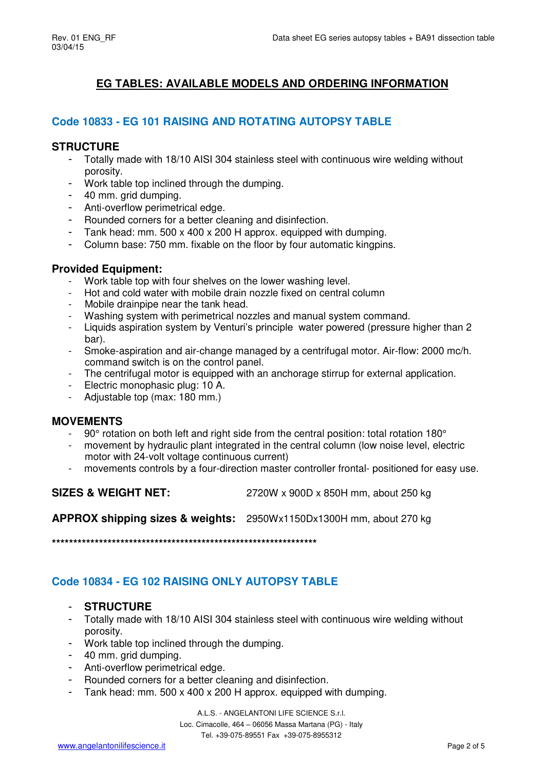# **EG TABLES: AVAILABLE MODELS AND ORDERING INFORMATION**

## **Code 10833 - EG 101 RAISING AND ROTATING AUTOPSY TABLE**

### **STRUCTURE**

- Totally made with 18/10 AISI 304 stainless steel with continuous wire welding without porosity.
- Work table top inclined through the dumping.
- 40 mm. grid dumping.
- Anti-overflow perimetrical edge.
- Rounded corners for a better cleaning and disinfection.
- Tank head: mm. 500 x 400 x 200 H approx. equipped with dumping.
- Column base: 750 mm. fixable on the floor by four automatic kingpins.

## **Provided Equipment:**

- Work table top with four shelves on the lower washing level.
- Hot and cold water with mobile drain nozzle fixed on central column
- Mobile drainpipe near the tank head.
- Washing system with perimetrical nozzles and manual system command.
- Liquids aspiration system by Venturi's principle water powered (pressure higher than 2 bar).
- Smoke-aspiration and air-change managed by a centrifugal motor. Air-flow: 2000 mc/h. command switch is on the control panel.
- The centrifugal motor is equipped with an anchorage stirrup for external application.
- Electric monophasic plug: 10 A.
- Adjustable top (max: 180 mm.)

### **MOVEMENTS**

- 90° rotation on both left and right side from the central position: total rotation 180°
- movement by hydraulic plant integrated in the central column (low noise level, electric motor with 24-volt voltage continuous current)
- movements controls by a four-direction master controller frontal- positioned for easy use.

**SIZES & WEIGHT NET:** 2720W x 900D x 850H mm, about 250 kg

**APPROX shipping sizes & weights:** 2950Wx1150Dx1300H mm, about 270 kg

**\*\*\*\*\*\*\*\*\*\*\*\*\*\*\*\*\*\*\*\*\*\*\*\*\*\*\*\*\*\*\*\*\*\*\*\*\*\*\*\*\*\*\*\*\*\*\*\*\*\*\*\*\*\*\*\*\*\*\*\*\*\***

## **Code 10834 - EG 102 RAISING ONLY AUTOPSY TABLE**

- **STRUCTURE**
- Totally made with 18/10 AISI 304 stainless steel with continuous wire welding without porosity.
- Work table top inclined through the dumping.
- 40 mm. grid dumping.
- Anti-overflow perimetrical edge.
- Rounded corners for a better cleaning and disinfection.
- Tank head: mm. 500 x 400 x 200 H approx. equipped with dumping.

A.L.S. - ANGELANTONI LIFE SCIENCE S.r.l. Loc. Cimacolle, 464 – 06056 Massa Martana (PG) - Italy Tel. +39-075-89551 Fax +39-075-8955312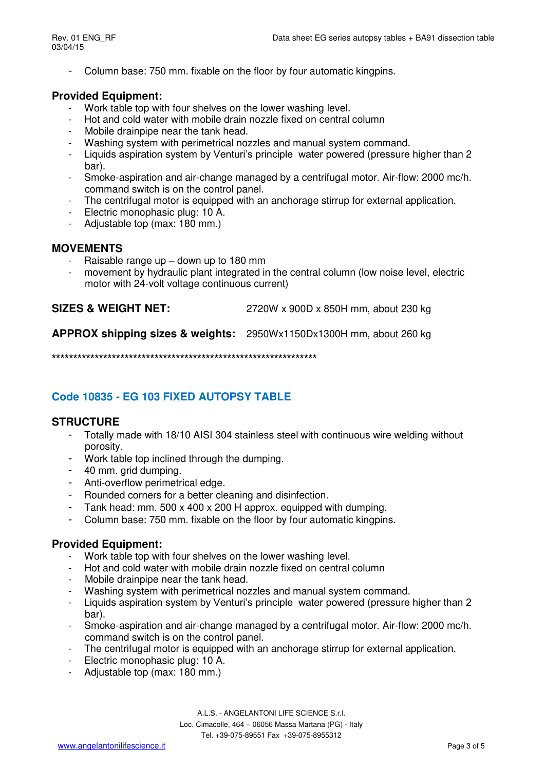- Column base: 750 mm. fixable on the floor by four automatic kingpins.

### **Provided Equipment:**

- Work table top with four shelves on the lower washing level.
- Hot and cold water with mobile drain nozzle fixed on central column
- Mobile drainpipe near the tank head.
- Washing system with perimetrical nozzles and manual system command.
- Liquids aspiration system by Venturi's principle water powered (pressure higher than 2 bar).
- Smoke-aspiration and air-change managed by a centrifugal motor. Air-flow: 2000 mc/h. command switch is on the control panel.
- The centrifugal motor is equipped with an anchorage stirrup for external application.
- Electric monophasic plug: 10 A.
- Adjustable top (max: 180 mm.)

### **MOVEMENTS**

- Raisable range up  $-$  down up to 180 mm
- movement by hydraulic plant integrated in the central column (low noise level, electric motor with 24-volt voltage continuous current)

**SIZES & WEIGHT NET:** 2720W x 900D x 850H mm, about 230 kg

**APPROX shipping sizes & weights:** 2950Wx1150Dx1300H mm, about 260 kg

**\*\*\*\*\*\*\*\*\*\*\*\*\*\*\*\*\*\*\*\*\*\*\*\*\*\*\*\*\*\*\*\*\*\*\*\*\*\*\*\*\*\*\*\*\*\*\*\*\*\*\*\*\*\*\*\*\*\*\*\*\*\***

## **Code 10835 - EG 103 FIXED AUTOPSY TABLE**

### **STRUCTURE**

- Totally made with 18/10 AISI 304 stainless steel with continuous wire welding without porosity.
- Work table top inclined through the dumping.
- 40 mm. grid dumping.
- Anti-overflow perimetrical edge.
- Rounded corners for a better cleaning and disinfection.
- Tank head: mm. 500 x 400 x 200 H approx. equipped with dumping.
- Column base: 750 mm. fixable on the floor by four automatic kingpins.

## **Provided Equipment:**

- Work table top with four shelves on the lower washing level.
- Hot and cold water with mobile drain nozzle fixed on central column
- Mobile drainpipe near the tank head.
- Washing system with perimetrical nozzles and manual system command.
- Liquids aspiration system by Venturi's principle water powered (pressure higher than 2 bar).
- Smoke-aspiration and air-change managed by a centrifugal motor. Air-flow: 2000 mc/h. command switch is on the control panel.
- The centrifugal motor is equipped with an anchorage stirrup for external application.
- Electric monophasic plug: 10 A.
- Adjustable top (max: 180 mm.)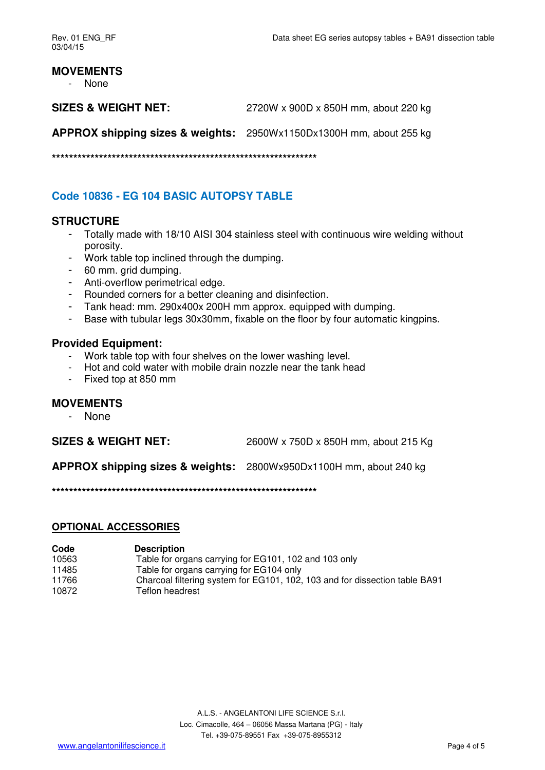### **MOVEMENTS**

- None

**SIZES & WEIGHT NET:** 2720W x 900D x 850H mm, about 220 kg

**APPROX shipping sizes & weights:** 2950Wx1150Dx1300H mm, about 255 kg

**\*\*\*\*\*\*\*\*\*\*\*\*\*\*\*\*\*\*\*\*\*\*\*\*\*\*\*\*\*\*\*\*\*\*\*\*\*\*\*\*\*\*\*\*\*\*\*\*\*\*\*\*\*\*\*\*\*\*\*\*\*\***

## **Code 10836 - EG 104 BASIC AUTOPSY TABLE**

### **STRUCTURE**

- Totally made with 18/10 AISI 304 stainless steel with continuous wire welding without porosity.
- Work table top inclined through the dumping.
- 60 mm. grid dumping.
- Anti-overflow perimetrical edge.
- Rounded corners for a better cleaning and disinfection.
- Tank head: mm. 290x400x 200H mm approx. equipped with dumping.
- Base with tubular legs 30x30mm, fixable on the floor by four automatic kingpins.

### **Provided Equipment:**

- Work table top with four shelves on the lower washing level.
- Hot and cold water with mobile drain nozzle near the tank head
- Fixed top at 850 mm

### **MOVEMENTS**

- None

**SIZES & WEIGHT NET:** 2600W x 750D x 850H mm, about 215 Kg

**APPROX shipping sizes & weights:** 2800Wx950Dx1100H mm, about 240 kg

**\*\*\*\*\*\*\*\*\*\*\*\*\*\*\*\*\*\*\*\*\*\*\*\*\*\*\*\*\*\*\*\*\*\*\*\*\*\*\*\*\*\*\*\*\*\*\*\*\*\*\*\*\*\*\*\*\*\*\*\*\*\***

#### **OPTIONAL ACCESSORIES**

| Code  | <b>Description</b>                                                          |
|-------|-----------------------------------------------------------------------------|
| 10563 | Table for organs carrying for EG101, 102 and 103 only                       |
| 11485 | Table for organs carrying for EG104 only                                    |
| 11766 | Charcoal filtering system for EG101, 102, 103 and for dissection table BA91 |
| 10872 | Teflon headrest                                                             |